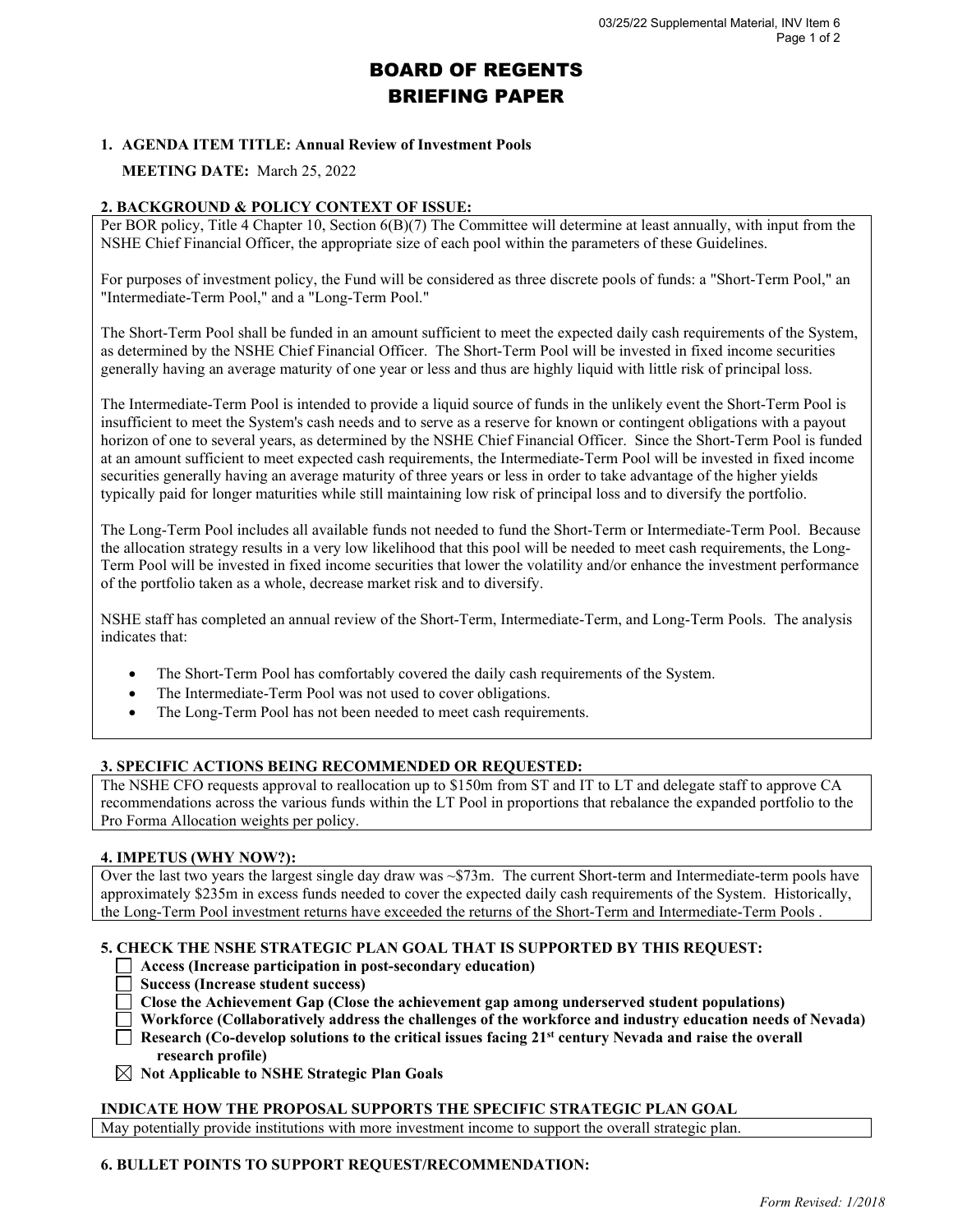# BOARD OF REGENTS BRIEFING PAPER

# **1. AGENDA ITEM TITLE: Annual Review of Investment Pools**

# **MEETING DATE:** March 25, 2022

### **2. BACKGROUND & POLICY CONTEXT OF ISSUE:**

Per BOR policy, Title 4 Chapter 10, Section 6(B)(7) The Committee will determine at least annually, with input from the NSHE Chief Financial Officer, the appropriate size of each pool within the parameters of these Guidelines.

For purposes of investment policy, the Fund will be considered as three discrete pools of funds: a "Short-Term Pool," an "Intermediate-Term Pool," and a "Long-Term Pool."

The Short-Term Pool shall be funded in an amount sufficient to meet the expected daily cash requirements of the System, as determined by the NSHE Chief Financial Officer. The Short-Term Pool will be invested in fixed income securities generally having an average maturity of one year or less and thus are highly liquid with little risk of principal loss.

The Intermediate-Term Pool is intended to provide a liquid source of funds in the unlikely event the Short-Term Pool is insufficient to meet the System's cash needs and to serve as a reserve for known or contingent obligations with a payout horizon of one to several years, as determined by the NSHE Chief Financial Officer. Since the Short-Term Pool is funded at an amount sufficient to meet expected cash requirements, the Intermediate-Term Pool will be invested in fixed income securities generally having an average maturity of three years or less in order to take advantage of the higher yields typically paid for longer maturities while still maintaining low risk of principal loss and to diversify the portfolio.

The Long-Term Pool includes all available funds not needed to fund the Short-Term or Intermediate-Term Pool. Because the allocation strategy results in a very low likelihood that this pool will be needed to meet cash requirements, the Long-Term Pool will be invested in fixed income securities that lower the volatility and/or enhance the investment performance of the portfolio taken as a whole, decrease market risk and to diversify.

NSHE staff has completed an annual review of the Short-Term, Intermediate-Term, and Long-Term Pools. The analysis indicates that:

- The Short-Term Pool has comfortably covered the daily cash requirements of the System.
- The Intermediate-Term Pool was not used to cover obligations.
- The Long-Term Pool has not been needed to meet cash requirements.

## **3. SPECIFIC ACTIONS BEING RECOMMENDED OR REQUESTED:**

The NSHE CFO requests approval to reallocation up to \$150m from ST and IT to LT and delegate staff to approve CA recommendations across the various funds within the LT Pool in proportions that rebalance the expanded portfolio to the Pro Forma Allocation weights per policy.

#### **4. IMPETUS (WHY NOW?):**

Over the last two years the largest single day draw was  $\sim$  \$73m. The current Short-term and Intermediate-term pools have approximately \$235m in excess funds needed to cover the expected daily cash requirements of the System. Historically, the Long-Term Pool investment returns have exceeded the returns of the Short-Term and Intermediate-Term Pools .

## **5. CHECK THE NSHE STRATEGIC PLAN GOAL THAT IS SUPPORTED BY THIS REQUEST:**

- **Access (Increase participation in post-secondary education)**
- **Success (Increase student success)**
- **Close the Achievement Gap (Close the achievement gap among underserved student populations)**
- **Workforce (Collaboratively address the challenges of the workforce and industry education needs of Nevada)**
- **Research (Co-develop solutions to the critical issues facing 21st century Nevada and raise the overall research profile)**
- **Not Applicable to NSHE Strategic Plan Goals**

#### **INDICATE HOW THE PROPOSAL SUPPORTS THE SPECIFIC STRATEGIC PLAN GOAL**

May potentially provide institutions with more investment income to support the overall strategic plan.

#### **6. BULLET POINTS TO SUPPORT REQUEST/RECOMMENDATION:**